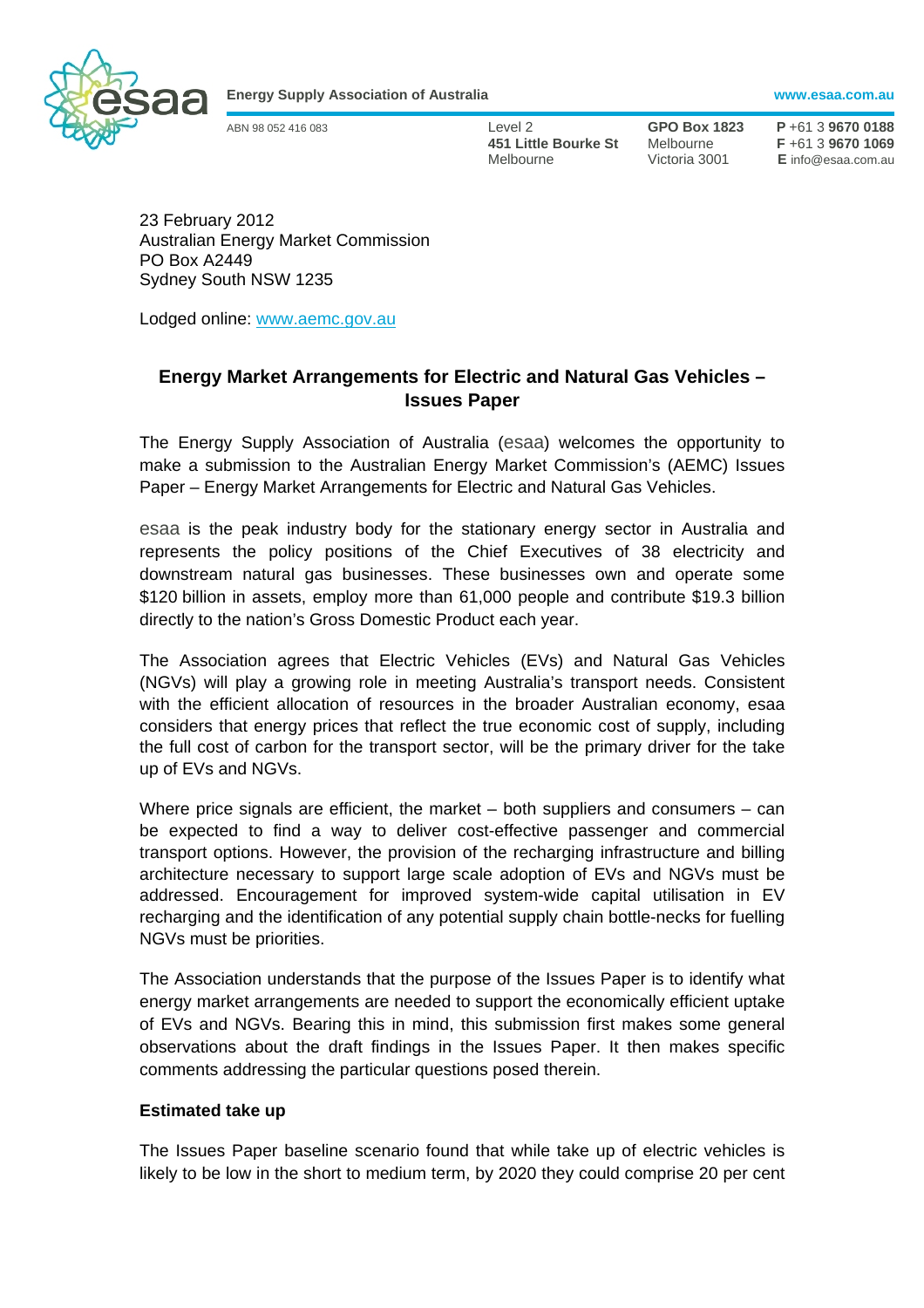

**Energy Supply Association of Australia www.esaa.com.au** 

ABN 98 052 416 083 Level 2 **GPO Box 1823 P** +61 3 **9670 0188 451 Little Bourke St** Melbourne **F** +61 3 **9670 1069**  Melbourne Victoria 3001 **E** info@esaa.com.au

23 February 2012 Australian Energy Market Commission PO Box A2449 Sydney South NSW 1235

Lodged online: www.aemc.gov.au

# **Energy Market Arrangements for Electric and Natural Gas Vehicles – Issues Paper**

The Energy Supply Association of Australia (esaa) welcomes the opportunity to make a submission to the Australian Energy Market Commission's (AEMC) Issues Paper – Energy Market Arrangements for Electric and Natural Gas Vehicles.

esaa is the peak industry body for the stationary energy sector in Australia and represents the policy positions of the Chief Executives of 38 electricity and downstream natural gas businesses. These businesses own and operate some \$120 billion in assets, employ more than 61,000 people and contribute \$19.3 billion directly to the nation's Gross Domestic Product each year.

The Association agrees that Electric Vehicles (EVs) and Natural Gas Vehicles (NGVs) will play a growing role in meeting Australia's transport needs. Consistent with the efficient allocation of resources in the broader Australian economy, esaa considers that energy prices that reflect the true economic cost of supply, including the full cost of carbon for the transport sector, will be the primary driver for the take up of EVs and NGVs.

Where price signals are efficient, the market – both suppliers and consumers – can be expected to find a way to deliver cost-effective passenger and commercial transport options. However, the provision of the recharging infrastructure and billing architecture necessary to support large scale adoption of EVs and NGVs must be addressed. Encouragement for improved system-wide capital utilisation in EV recharging and the identification of any potential supply chain bottle-necks for fuelling NGVs must be priorities.

The Association understands that the purpose of the Issues Paper is to identify what energy market arrangements are needed to support the economically efficient uptake of EVs and NGVs. Bearing this in mind, this submission first makes some general observations about the draft findings in the Issues Paper. It then makes specific comments addressing the particular questions posed therein.

### **Estimated take up**

The Issues Paper baseline scenario found that while take up of electric vehicles is likely to be low in the short to medium term, by 2020 they could comprise 20 per cent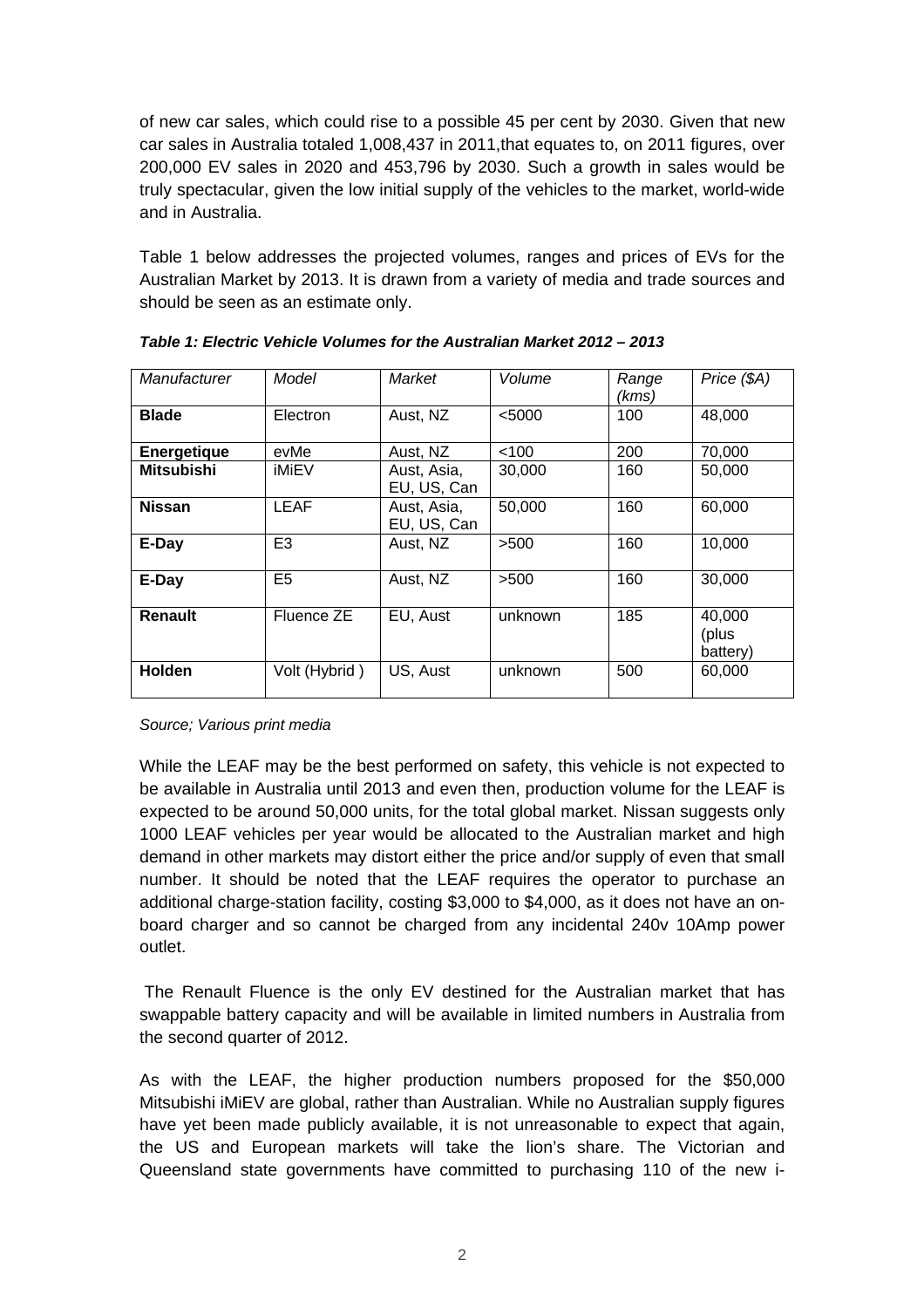of new car sales, which could rise to a possible 45 per cent by 2030. Given that new car sales in Australia totaled 1,008,437 in 2011,that equates to, on 2011 figures, over 200,000 EV sales in 2020 and 453,796 by 2030. Such a growth in sales would be truly spectacular, given the low initial supply of the vehicles to the market, world-wide and in Australia.

Table 1 below addresses the projected volumes, ranges and prices of EVs for the Australian Market by 2013. It is drawn from a variety of media and trade sources and should be seen as an estimate only.

| Manufacturer       | Model          | Market                     | Volume  | Range<br>(kms) | Price (\$A)                 |
|--------------------|----------------|----------------------------|---------|----------------|-----------------------------|
| <b>Blade</b>       | Electron       | Aust, NZ                   | < 5000  | 100            | 48,000                      |
| <b>Energetique</b> | evMe           | Aust, NZ                   | <100    | 200            | 70,000                      |
| <b>Mitsubishi</b>  | iMiEV          | Aust, Asia,<br>EU, US, Can | 30,000  | 160            | 50,000                      |
| <b>Nissan</b>      | <b>LEAF</b>    | Aust, Asia,<br>EU, US, Can | 50,000  | 160            | 60,000                      |
| E-Day              | E <sub>3</sub> | Aust, NZ                   | >500    | 160            | 10,000                      |
| E-Day              | E <sub>5</sub> | Aust, NZ                   | >500    | 160            | 30,000                      |
| <b>Renault</b>     | Fluence ZE     | EU, Aust                   | unknown | 185            | 40,000<br>(plus<br>battery) |
| <b>Holden</b>      | Volt (Hybrid)  | US, Aust                   | unknown | 500            | 60,000                      |

*Table 1: Electric Vehicle Volumes for the Australian Market 2012 – 2013* 

### *Source; Various print media*

While the LEAF may be the best performed on safety, this vehicle is not expected to be available in Australia until 2013 and even then, production volume for the LEAF is expected to be around 50,000 units, for the total global market. Nissan suggests only 1000 LEAF vehicles per year would be allocated to the Australian market and high demand in other markets may distort either the price and/or supply of even that small number. It should be noted that the LEAF requires the operator to purchase an additional charge-station facility, costing \$3,000 to \$4,000, as it does not have an onboard charger and so cannot be charged from any incidental 240v 10Amp power outlet.

 The Renault Fluence is the only EV destined for the Australian market that has swappable battery capacity and will be available in limited numbers in Australia from the second quarter of 2012.

As with the LEAF, the higher production numbers proposed for the \$50,000 Mitsubishi iMiEV are global, rather than Australian. While no Australian supply figures have yet been made publicly available, it is not unreasonable to expect that again, the US and European markets will take the lion's share. The Victorian and Queensland state governments have committed to purchasing 110 of the new i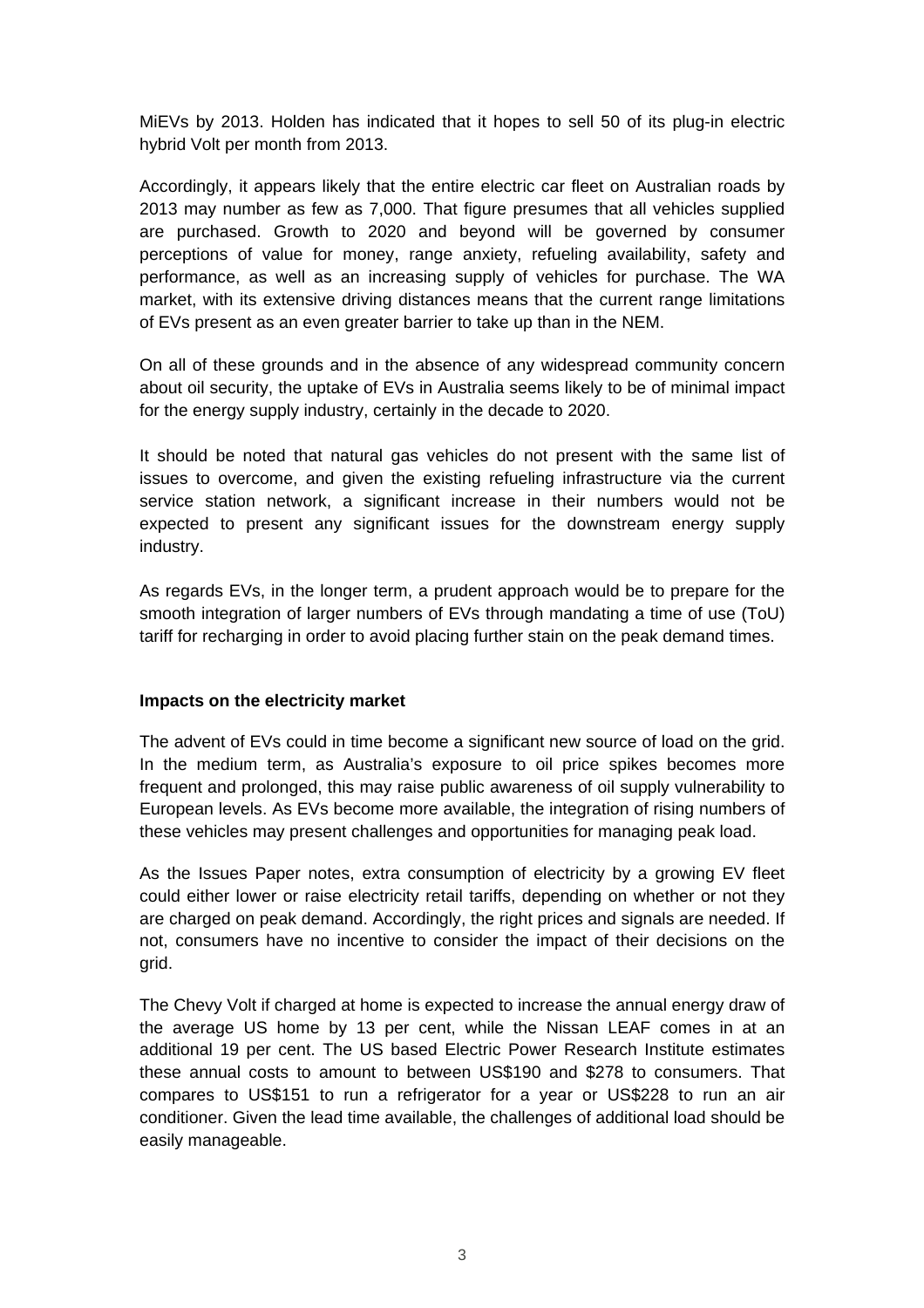MiEVs by 2013. Holden has indicated that it hopes to sell 50 of its plug-in electric hybrid Volt per month from 2013.

Accordingly, it appears likely that the entire electric car fleet on Australian roads by 2013 may number as few as 7,000. That figure presumes that all vehicles supplied are purchased. Growth to 2020 and beyond will be governed by consumer perceptions of value for money, range anxiety, refueling availability, safety and performance, as well as an increasing supply of vehicles for purchase. The WA market, with its extensive driving distances means that the current range limitations of EVs present as an even greater barrier to take up than in the NEM.

On all of these grounds and in the absence of any widespread community concern about oil security, the uptake of EVs in Australia seems likely to be of minimal impact for the energy supply industry, certainly in the decade to 2020.

It should be noted that natural gas vehicles do not present with the same list of issues to overcome, and given the existing refueling infrastructure via the current service station network, a significant increase in their numbers would not be expected to present any significant issues for the downstream energy supply industry.

As regards EVs, in the longer term, a prudent approach would be to prepare for the smooth integration of larger numbers of EVs through mandating a time of use (ToU) tariff for recharging in order to avoid placing further stain on the peak demand times.

### **Impacts on the electricity market**

The advent of EVs could in time become a significant new source of load on the grid. In the medium term, as Australia's exposure to oil price spikes becomes more frequent and prolonged, this may raise public awareness of oil supply vulnerability to European levels. As EVs become more available, the integration of rising numbers of these vehicles may present challenges and opportunities for managing peak load.

As the Issues Paper notes, extra consumption of electricity by a growing EV fleet could either lower or raise electricity retail tariffs, depending on whether or not they are charged on peak demand. Accordingly, the right prices and signals are needed. If not, consumers have no incentive to consider the impact of their decisions on the grid.

The Chevy Volt if charged at home is expected to increase the annual energy draw of the average US home by 13 per cent, while the Nissan LEAF comes in at an additional 19 per cent. The US based Electric Power Research Institute estimates these annual costs to amount to between US\$190 and \$278 to consumers. That compares to US\$151 to run a refrigerator for a year or US\$228 to run an air conditioner. Given the lead time available, the challenges of additional load should be easily manageable.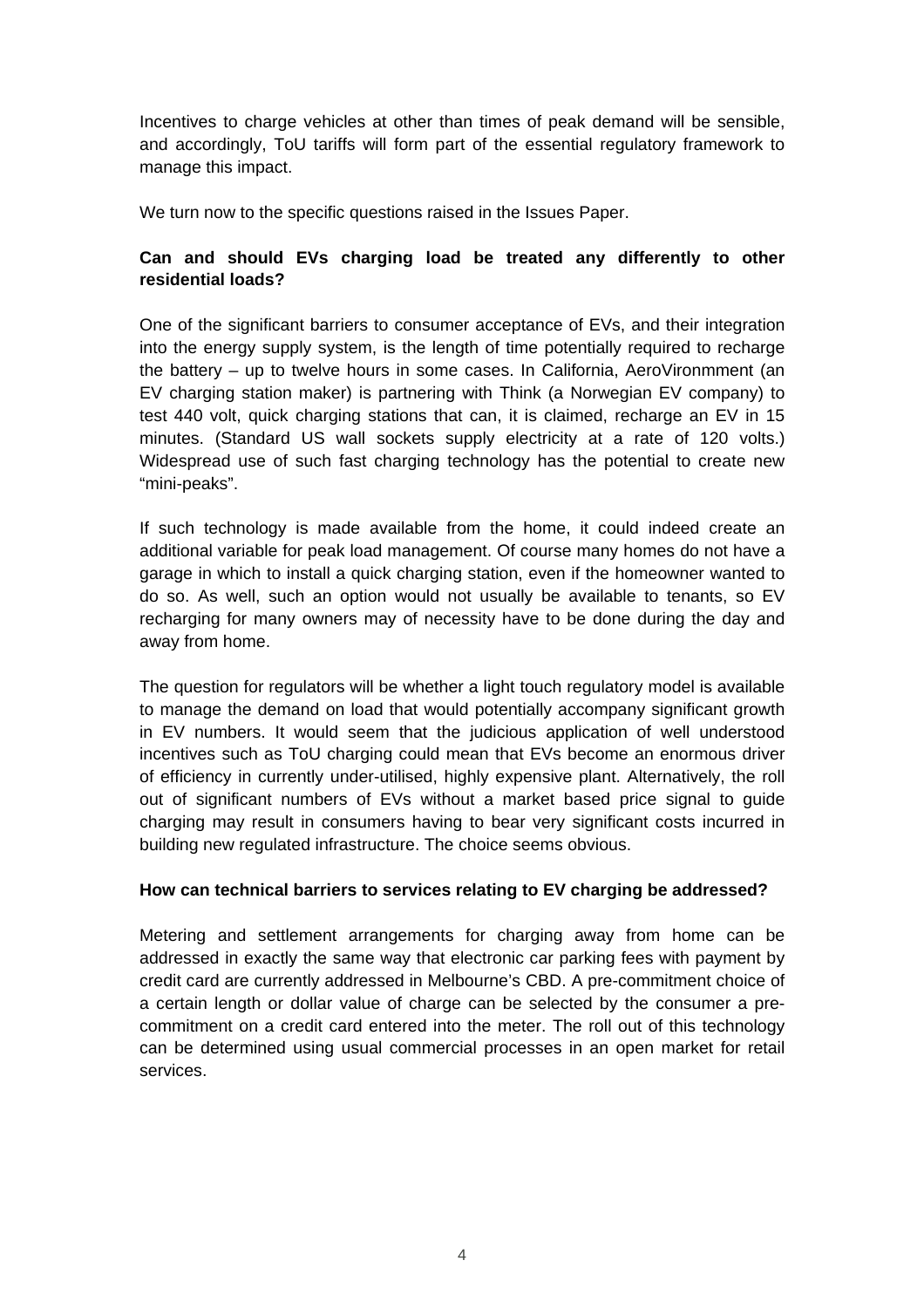Incentives to charge vehicles at other than times of peak demand will be sensible, and accordingly, ToU tariffs will form part of the essential regulatory framework to manage this impact.

We turn now to the specific questions raised in the Issues Paper.

## **Can and should EVs charging load be treated any differently to other residential loads?**

One of the significant barriers to consumer acceptance of EVs, and their integration into the energy supply system, is the length of time potentially required to recharge the battery – up to twelve hours in some cases. In California, AeroVironmment (an EV charging station maker) is partnering with Think (a Norwegian EV company) to test 440 volt, quick charging stations that can, it is claimed, recharge an EV in 15 minutes. (Standard US wall sockets supply electricity at a rate of 120 volts.) Widespread use of such fast charging technology has the potential to create new "mini-peaks".

If such technology is made available from the home, it could indeed create an additional variable for peak load management. Of course many homes do not have a garage in which to install a quick charging station, even if the homeowner wanted to do so. As well, such an option would not usually be available to tenants, so EV recharging for many owners may of necessity have to be done during the day and away from home.

The question for regulators will be whether a light touch regulatory model is available to manage the demand on load that would potentially accompany significant growth in EV numbers. It would seem that the judicious application of well understood incentives such as ToU charging could mean that EVs become an enormous driver of efficiency in currently under-utilised, highly expensive plant. Alternatively, the roll out of significant numbers of EVs without a market based price signal to guide charging may result in consumers having to bear very significant costs incurred in building new regulated infrastructure. The choice seems obvious.

## **How can technical barriers to services relating to EV charging be addressed?**

Metering and settlement arrangements for charging away from home can be addressed in exactly the same way that electronic car parking fees with payment by credit card are currently addressed in Melbourne's CBD. A pre-commitment choice of a certain length or dollar value of charge can be selected by the consumer a precommitment on a credit card entered into the meter. The roll out of this technology can be determined using usual commercial processes in an open market for retail services.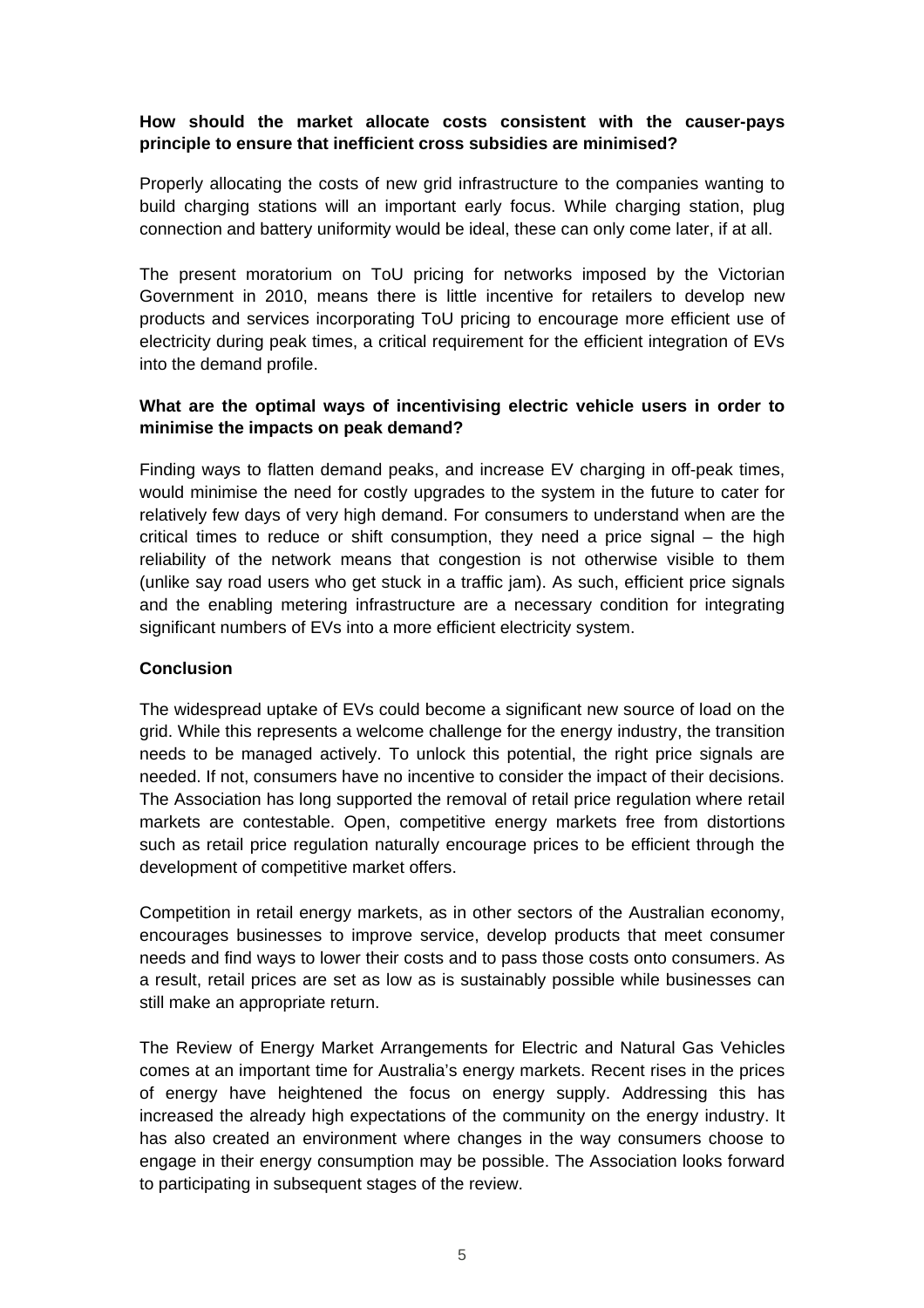### **How should the market allocate costs consistent with the causer-pays principle to ensure that inefficient cross subsidies are minimised?**

Properly allocating the costs of new grid infrastructure to the companies wanting to build charging stations will an important early focus. While charging station, plug connection and battery uniformity would be ideal, these can only come later, if at all.

The present moratorium on ToU pricing for networks imposed by the Victorian Government in 2010, means there is little incentive for retailers to develop new products and services incorporating ToU pricing to encourage more efficient use of electricity during peak times, a critical requirement for the efficient integration of EVs into the demand profile.

### **What are the optimal ways of incentivising electric vehicle users in order to minimise the impacts on peak demand?**

Finding ways to flatten demand peaks, and increase EV charging in off-peak times, would minimise the need for costly upgrades to the system in the future to cater for relatively few days of very high demand. For consumers to understand when are the critical times to reduce or shift consumption, they need a price signal – the high reliability of the network means that congestion is not otherwise visible to them (unlike say road users who get stuck in a traffic jam). As such, efficient price signals and the enabling metering infrastructure are a necessary condition for integrating significant numbers of EVs into a more efficient electricity system.

### **Conclusion**

The widespread uptake of EVs could become a significant new source of load on the grid. While this represents a welcome challenge for the energy industry, the transition needs to be managed actively. To unlock this potential, the right price signals are needed. If not, consumers have no incentive to consider the impact of their decisions. The Association has long supported the removal of retail price regulation where retail markets are contestable. Open, competitive energy markets free from distortions such as retail price regulation naturally encourage prices to be efficient through the development of competitive market offers.

Competition in retail energy markets, as in other sectors of the Australian economy, encourages businesses to improve service, develop products that meet consumer needs and find ways to lower their costs and to pass those costs onto consumers. As a result, retail prices are set as low as is sustainably possible while businesses can still make an appropriate return.

The Review of Energy Market Arrangements for Electric and Natural Gas Vehicles comes at an important time for Australia's energy markets. Recent rises in the prices of energy have heightened the focus on energy supply. Addressing this has increased the already high expectations of the community on the energy industry. It has also created an environment where changes in the way consumers choose to engage in their energy consumption may be possible. The Association looks forward to participating in subsequent stages of the review.